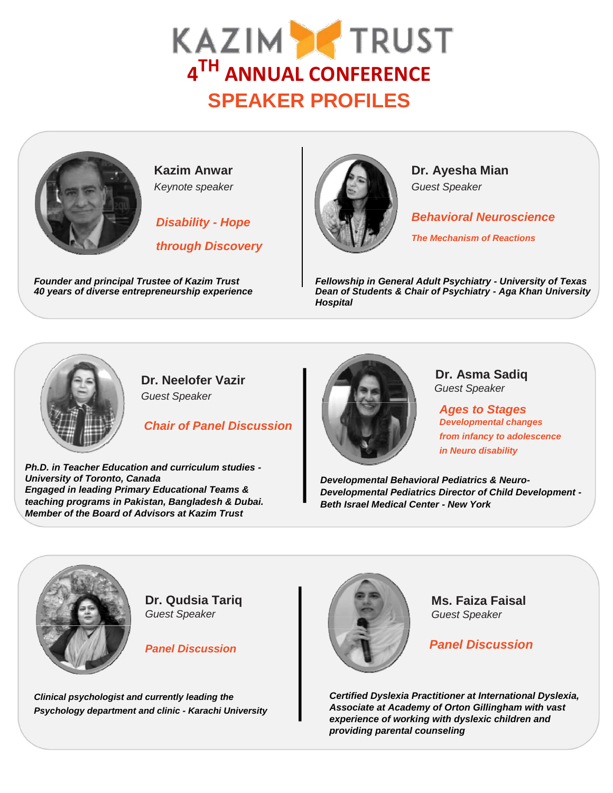## **4 TH ANNUAL CONFERENCE SPEAKER PROFILES**



*through Discovery*



*Disability - Hope* **Behavioral Neuroscience** 

*The Mechanism of Reactions*

*Founder and principal Trustee of Kazim Trust Fellowship in General Adult Psychiatry - University of Texas 40 years of diverse entrepreneurship experience Dean of Students & Chair of Psychiatry - Aga Khan University Hospital*



**Dr. Neelofer Vazir**

*Guest Speaker*

*Chair of Panel Discussion*

*Ph.D. in Teacher Education and curriculum studies - University of Toronto, Canada Engaged in leading Primary Educational Teams & teaching programs in Pakistan, Bangladesh & Dubai. Member of the Board of Advisors at Kazim Trust*



**Dr. Asma Sadiq** *Guest Speaker*

*Ages to Stages Developmental changes from infancy to adolescence in Neuro disability*

*Developmental Behavioral Pediatrics & Neuro-Developmental Pediatrics Director of Child Development - Beth Israel Medical Center - New York*



**Dr. Qudsia Tariq** *Guest Speaker*

*Panel Discussion*

*Clinical psychologist and currently leading the Psychology department and clinic - Karachi University*



**Ms. Faiza Faisal** *Guest Speaker*

*Panel Discussion*

*Certified Dyslexia Practitioner at International Dyslexia, Associate at Academy of Orton Gillingham with vast experience of working with dyslexic children and providing parental counseling*